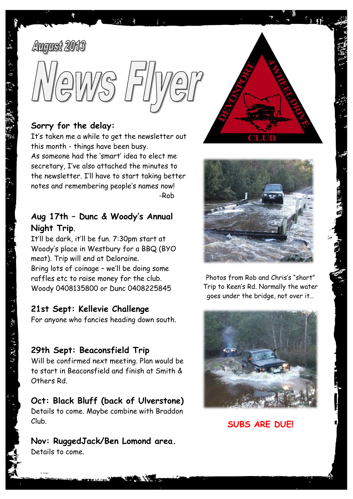# **August 2013**

医一种 机

てんばん きっぽ (電気) アープ



#### **Sorry for the delay:**

It's taken me a while to get the newsletter out this month - things have been busy. As someone had the 'smart' idea to elect me secretary, I've also attached the minutes to the newsletter. I'll have to start taking better notes and remembering people's names now! -Rob

#### **Aug 17th – Dunc & Woody's Annual Night Trip**.

It'll be dark, it'll be fun. 7:30pm start at Woody's place in Westbury for a BBQ (BYO meat). Trip will end at Deloraine. Bring lots of coinage – we'll be doing some raffles etc to raise money for the club. Woody 0408135800 or Dunc 0408225845

#### **21st Sept: Kellevie Challenge**

For anyone who fancies heading down south.

## **29th Sept: Beaconsfield Trip**

Will be confirmed next meeting. Plan would be to start in Beaconsfield and finish at Smith & Others Rd.

## **Oct: Black Bluff (back of Ulverstone)**

Details to come. Maybe combine with Braddon Club.

#### **Nov: RuggedJack/Ben Lomond area.** Details to come.





Photos from Rob and Chris's "short" Trip to Keen's Rd. Normally the water goes under the bridge, not over it…



**SUBS ARE DUE!**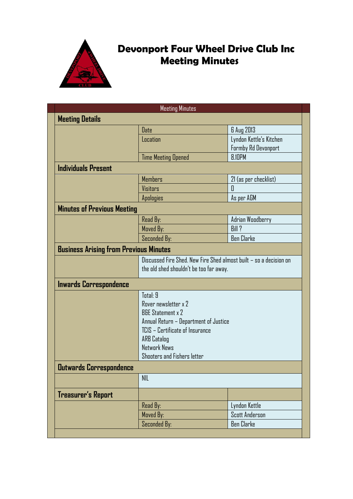

# **Devonport Four Wheel Drive Club Inc Meeting Minutes**

| <b>Meeting Minutes</b>                        |                                                                                                                                                                                                                   |                                                |
|-----------------------------------------------|-------------------------------------------------------------------------------------------------------------------------------------------------------------------------------------------------------------------|------------------------------------------------|
| <b>Meeting Details</b>                        |                                                                                                                                                                                                                   |                                                |
|                                               | Date                                                                                                                                                                                                              | 6 Aug 2013                                     |
|                                               | Location                                                                                                                                                                                                          | Lyndon Kettle's Kitchen<br>Formby Rd Devonport |
|                                               | <b>Time Meeting Opened</b>                                                                                                                                                                                        | <b>8.IOPM</b>                                  |
| <b>Individuals Present</b>                    |                                                                                                                                                                                                                   |                                                |
|                                               | <b>Members</b>                                                                                                                                                                                                    | 21 (as per checklist)                          |
|                                               | Visitors                                                                                                                                                                                                          | 0                                              |
|                                               | <b>Apologies</b>                                                                                                                                                                                                  | As per AGM                                     |
| <b>Minutes of Previous Meeting</b>            |                                                                                                                                                                                                                   |                                                |
|                                               | Read By:                                                                                                                                                                                                          | Adrian Woodberry                               |
|                                               | Moved By:                                                                                                                                                                                                         | Bill?                                          |
|                                               | Seconded By:                                                                                                                                                                                                      | <b>Ben Clarke</b>                              |
| <b>Business Arising from Previous Minutes</b> |                                                                                                                                                                                                                   |                                                |
|                                               | Discussed Fire Shed. New Fire Shed almost built - so a decision on<br>the old shed shouldn't be too far away.                                                                                                     |                                                |
| Inwards Correspondence                        |                                                                                                                                                                                                                   |                                                |
|                                               | Total: 9<br>Rover newsletter x 2<br><b>B&amp;E Statement x 2</b><br>Annual Return – Department of Justice<br>TCIS - Certificate of Insurance<br><b>ARB Catalog</b><br>Network News<br>Shooters and Fishers letter |                                                |
| <b>Outwards Correspondence</b>                |                                                                                                                                                                                                                   |                                                |
|                                               | <b>NIL</b>                                                                                                                                                                                                        |                                                |
| Treasurer's Report                            |                                                                                                                                                                                                                   |                                                |
|                                               | Read By:                                                                                                                                                                                                          | Lyndon Kettle                                  |
|                                               | Moved By:                                                                                                                                                                                                         | <b>Scott Anderson</b>                          |
|                                               |                                                                                                                                                                                                                   |                                                |